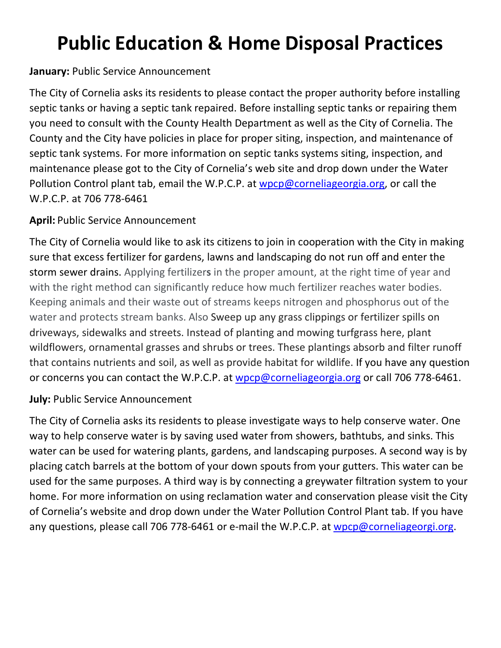# **Public Education & Home Disposal Practices**

## **January:** Public Service Announcement

The City of Cornelia asks its residents to please contact the proper authority before installing septic tanks or having a septic tank repaired. Before installing septic tanks or repairing them you need to consult with the County Health Department as well as the City of Cornelia. The County and the City have policies in place for proper siting, inspection, and maintenance of septic tank systems. For more information on septic tanks systems siting, inspection, and maintenance please got to the City of Cornelia's web site and drop down under the Water Pollution Control plant tab, email the W.P.C.P. at [wpcp@corneliageorgia.org,](mailto:wpcp@corneliageorgia.org) or call the W.P.C.P. at 706 778-6461

## **April:** Public Service Announcement

The City of Cornelia would like to ask its citizens to join in cooperation with the City in making sure that excess fertilizer for gardens, lawns and landscaping do not run off and enter the storm sewer drains. Applying fertilizer**s** in the proper amount, at the right time of year and with the right method can significantly reduce how much fertilizer reaches water bodies. Keeping animals and their waste out of streams keeps nitrogen and phosphorus out of the water and protects stream banks. Also Sweep up any grass clippings or fertilizer spills on driveways, sidewalks and streets. Instead of planting and mowing turfgrass here, plant wildflowers, ornamental grasses and shrubs or trees. These plantings absorb and filter runoff that contains nutrients and soil, as well as provide habitat for wildlife. If you have any question or concerns you can contact the W.P.C.P. at [wpcp@corneliageorgia.org](mailto:wpcp@corneliageorgia.org) or call 706 778-6461.

### **July:** Public Service Announcement

The City of Cornelia asks its residents to please investigate ways to help conserve water. One way to help conserve water is by saving used water from showers, bathtubs, and sinks. This water can be used for watering plants, gardens, and landscaping purposes. A second way is by placing catch barrels at the bottom of your down spouts from your gutters. This water can be used for the same purposes. A third way is by connecting a greywater filtration system to your home. For more information on using reclamation water and conservation please visit the City of Cornelia's website and drop down under the Water Pollution Control Plant tab. If you have any questions, please call 706 778-6461 or e-mail the W.P.C.P. at [wpcp@corneliageorgi.org.](mailto:wpcp@corneliageorgi.org)